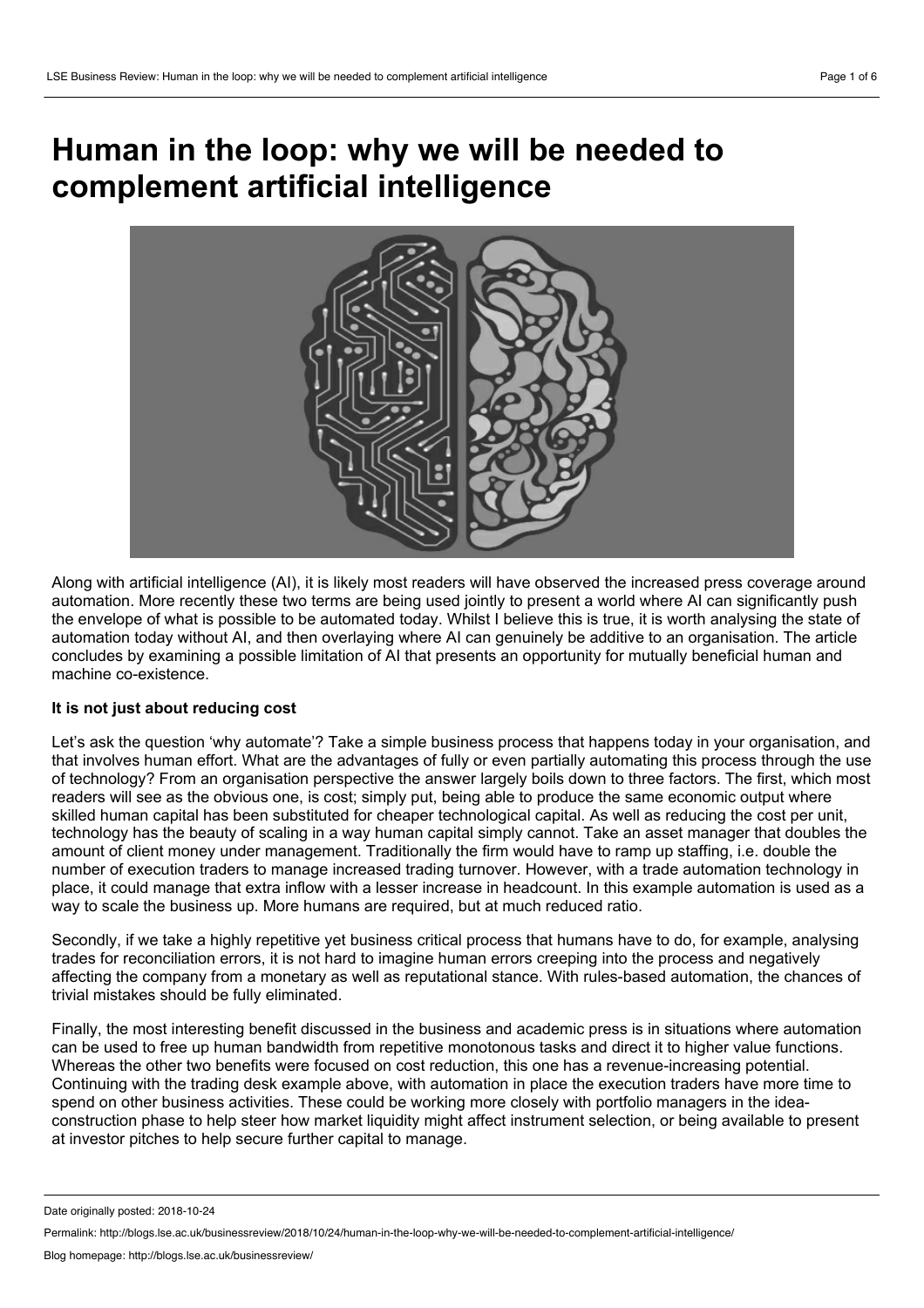# **Human in the loop: why we will be needed to complement artificial intelligence**



Along with artificial intelligence (AI), it is likely most readers will have observed the increased press coverage around automation. More recently these two terms are being used jointly to present a world where AI can significantly push the envelope of what is possible to be automated today. Whilst I believe this is true, it is worth analysing the state of automation today without AI, and then overlaying where AI can genuinely be additive to an organisation. The article concludes by examining a possible limitation of AI that presents an opportunity for mutually beneficial human and machine co-existence.

# **It is not just about reducing cost**

Let's ask the question 'why automate'? Take a simple business process that happens today in your organisation, and that involves human effort. What are the advantages of fully oreven partially automating this process through the use of technology? From an organisation perspective the answer largely boils down to three factors. The first, which most readers will see as the obvious one, is cost; simply put, being able to produce the same economic output where skilled human capital has been substituted for cheaper technological capital. As well as reducing the cost per unit, technology has the beauty of scaling in a way human capital simply cannot. Take an asset manager that doubles the amount of client money under management. Traditionally the firm would have to ramp up staffing, i.e. double the number of execution traders to manage increased trading turnover. However, with a trade automation technology in place, it could manage that extra inflow with a lesser increase in headcount. In this example automation is used as a way to scale the business up. More humans are required, but at much reduced ratio.

Secondly, if we take a highly repetitive yet business critical process that humans have to do, for example, analysing trades for reconciliation errors, it is not hard to imagine human errors creeping into the process and negatively affecting the company from a monetary as wellas reputational stance. With rules-based automation, the chances of trivial mistakes should be fully eliminated.

Finally, the most interesting benefit discussed in the business and academic press is in situations where automation can be used to free up human bandwidth from repetitive monotonous tasks and direct it to higher value functions. Whereas the other two benefits were focused on cost reduction, this one has a revenue-increasing potential. Continuing with the trading desk example above, with automation in place the execution traders have more time to spend on other business activities. These could be working more closely with portfolio managers in the idea construction phase to help steer how market liquidity might affect instrument selection, or being available to present at investor pitches to help secure further capital to manage.

Date originally posted: 2018-10-24

Permalink: http://blogs.lse.ac.uk/businessreview/2018/10/24/human-in-the-loop-why-we-will-be-needed-to-complement-artificial-intelligence/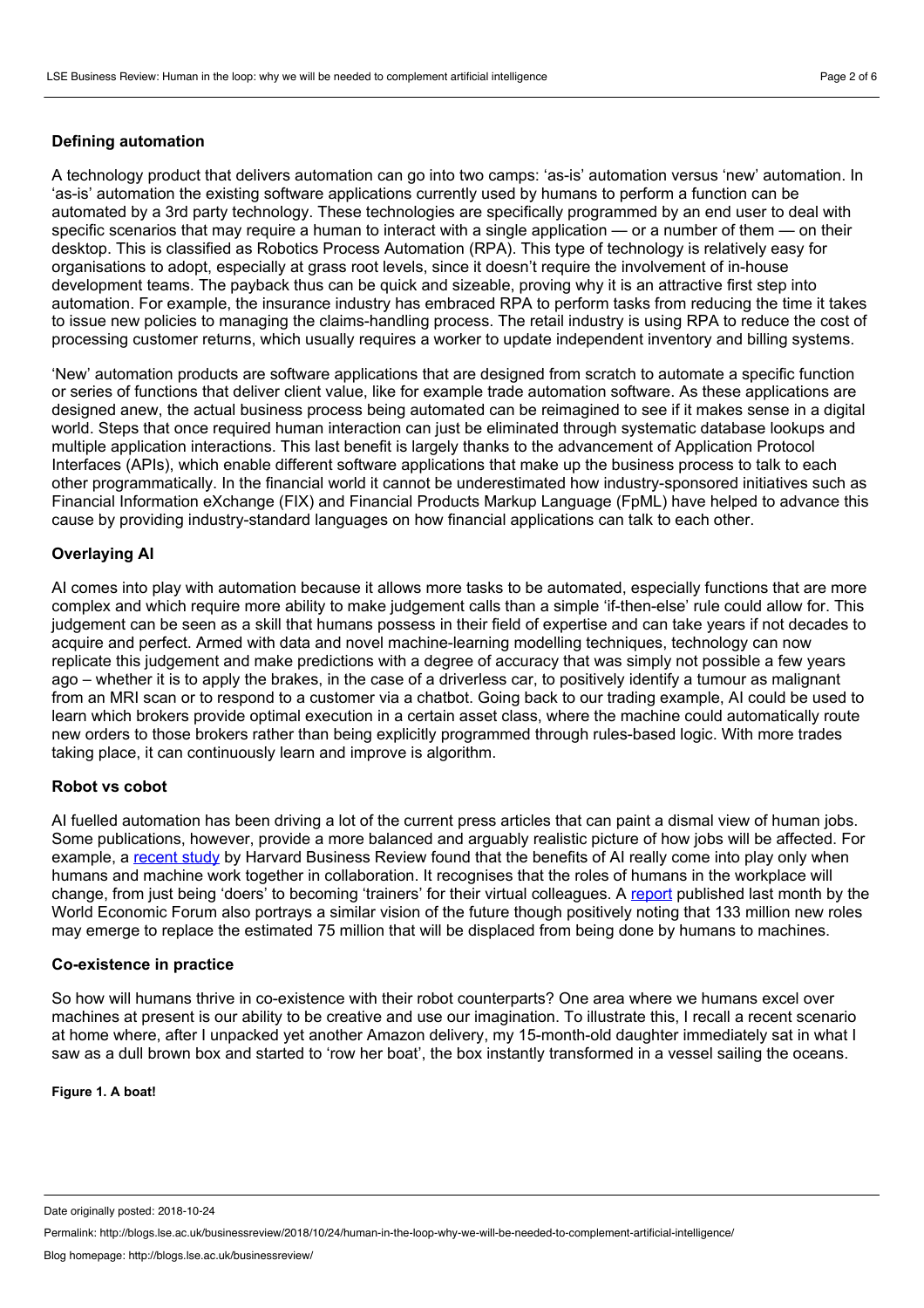# **Defining automation**

A technology product that delivers automation can go into two camps: 'as-is' automation versus 'new' automation. In 'as-is' automation the existing software applications currently used by humans to perform a function can be automated by a 3rd party technology. These technologies are specifically programmed by an end user to deal with specific scenarios that may require a human to interact with a single application — or a number of them — on their desktop. This is classified as Robotics Process Automation (RPA). This type of technology is relatively easy for organisations to adopt, especially at grass root levels, since it doesn't require the involvement of in-house development teams. The payback thus can be quick and sizeable, proving why it is an attractive first step into automation. For example, the insurance industry has embraced RPA to perform tasks from reducing the time it takes to issue new policies to managing the claims-handling process. The retail industry is using RPA to reduce the cost of processing customer returns, which usually requires a worker to update independent inventory and billing systems.

'New' automation products are software applications that are designed from scratch to automate a specific function or series of functions that deliver client value, like for example trade automation software. As these applications are designed anew, the actual business process being automated can be reimagined to see if it makes sense in a digital world. Steps that once required human interaction can just be eliminated through systematic database lookups and multiple application interactions. This last benefit is largely thanks to the advancement of Application Protocol Interfaces (APIs), which enable different software applications that make up the business process to talk to each other programmatically. In the financial world it cannot be underestimated how industry-sponsored initiatives such as Financial Information eXchange (FIX) and Financial Products Markup Language (FpML) have helped to advance this cause by providing industry-standard languages on how financial applications can talk to each other.

# **Overlaying AI**

AI comes into play with automation because it allows more tasks to be automated, especially functions that are more complex and which require more ability to make judgement calls than a simple 'if-then-else' rule could allow for. This judgement can be seen as a skill that humans possess in their field of expertise and can take years if not decades to acquire and perfect. Armed with data and novel machine-learning modelling techniques, technology can now replicate this judgement and make predictions with a degree of accuracy that was simply not possible a few years ago – whether it is to apply the brakes, in the case of a driverless car, to positively identify a tumour as malignant from an MRI scan or to respond to a customer via a chatbot. Going back to our trading example, AI could be used to learn which brokers provide optimal execution in a certain asset class, where the machine could automatically route new orders to those brokers rather than being explicitly programmed through rules-based logic. With more trades taking place, it can continuously learn and improve is algorithm.

## **Robot vs cobot**

AI fuelled automation has been driving a lot of the current press articles that can paint a dismal view of human jobs. Some publications, however, provide a more balanced and arguably realistic picture of how jobs will be affected. For example, a [recent](https://hbr.org/2018/07/collaborative-intelligence-humans-and-ai-are-joining-forces) study by Harvard Business Review found that the benefits of AI really come into play only when humans and machine work together in collaboration. It recognises that the roles of humans in the workplace will change, from just being 'doers' to becoming 'trainers' for their virtual colleagues. A [report](https://www.weforum.org/reports/the-future-of-jobs-report-2018) published last month by the World Economic Forum also portrays a similar vision of the future though positively noting that 133 million new roles may emerge to replace the estimated 75 million that will be displaced from being done by humans to machines.

# **Co-existence in practice**

So how will humans thrive in co-existence with their robot counterparts? One area where we humans excel over machines at present is our ability to be creative and use our imagination. To illustrate this, I recall a recent scenario at home where, after I unpacked yet another Amazon delivery, my 15-month-old daughter immediately satin what I saw as a dull brown box and started to 'row her boat', the box instantly transformed in a vessel sailing the oceans.

**Figure 1. A boat!**

Date originally posted: 2018-10-24

Permalink: http://blogs.lse.ac.uk/businessreview/2018/10/24/human-in-the-loop-why-we-will-be-needed-to-complement-artificial-intelligence/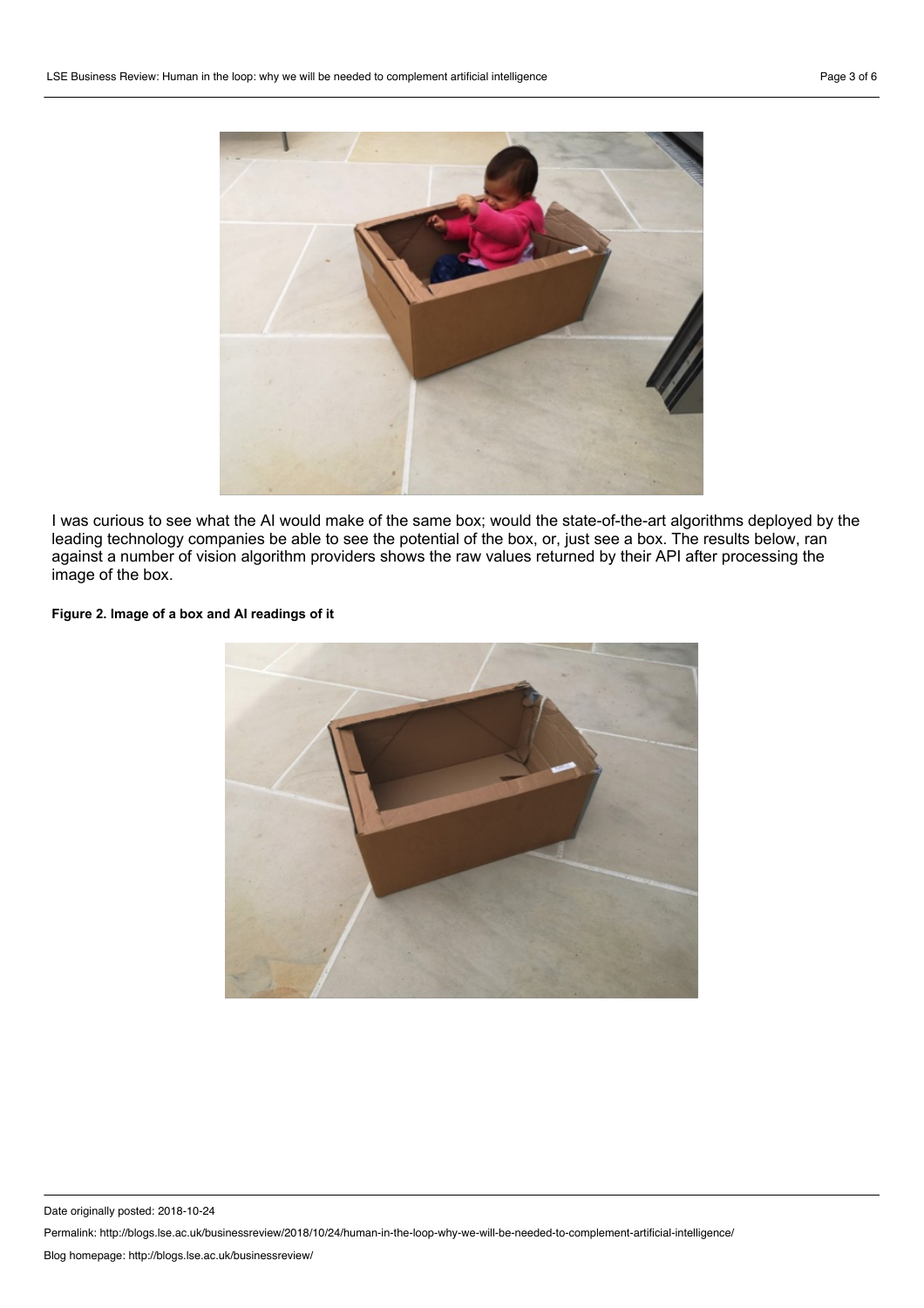

I was curious to see what the AI would make of the same box; would the state-of-the-art algorithms deployed by the leading technology companies be able to see the potential of the box, or, just see a box. The results below, ran against a number of vision algorithm providers shows the raw values returned by their API after processing the image of the box.

### **Figure 2. Image of a box and AI readings of it**



Date originally posted: 2018-10-24

Permalink: http://blogs.lse.ac.uk/businessreview/2018/10/24/human-in-the-loop-why-we-will-be-needed-to-complement-artificial-intelligence/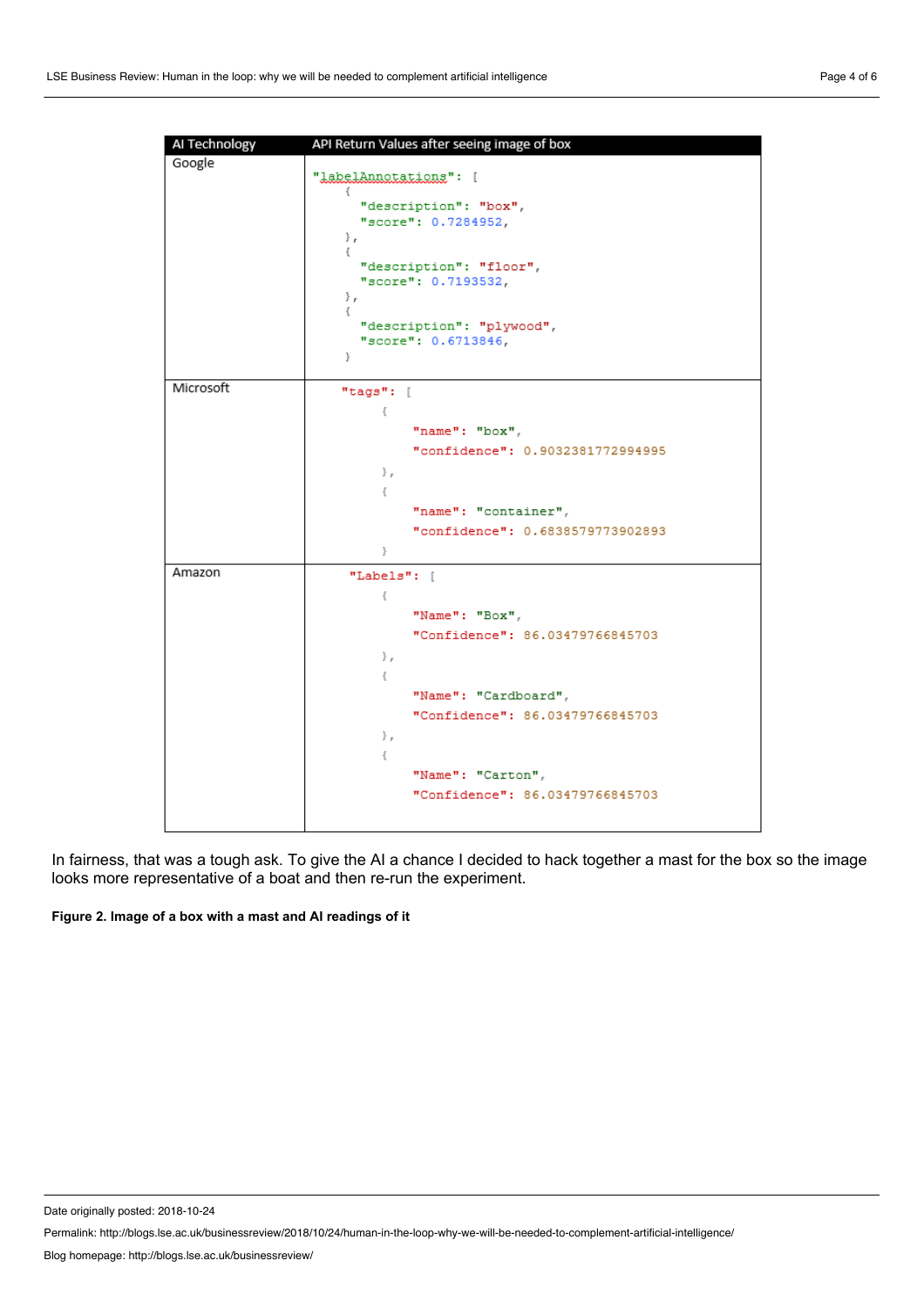

In fairness, that was a tough ask. To give the AI a chance I decided to hack together a mast for the box so the image looks more representative of a boat and then re-run the experiment.

### **Figure 2. Image of a box with a mast and AI readings of it**

Date originally posted: 2018-10-24

Permalink: http://blogs.lse.ac.uk/businessreview/2018/10/24/human-in-the-loop-why-we-will-be-needed-to-complement-artificial-intelligence/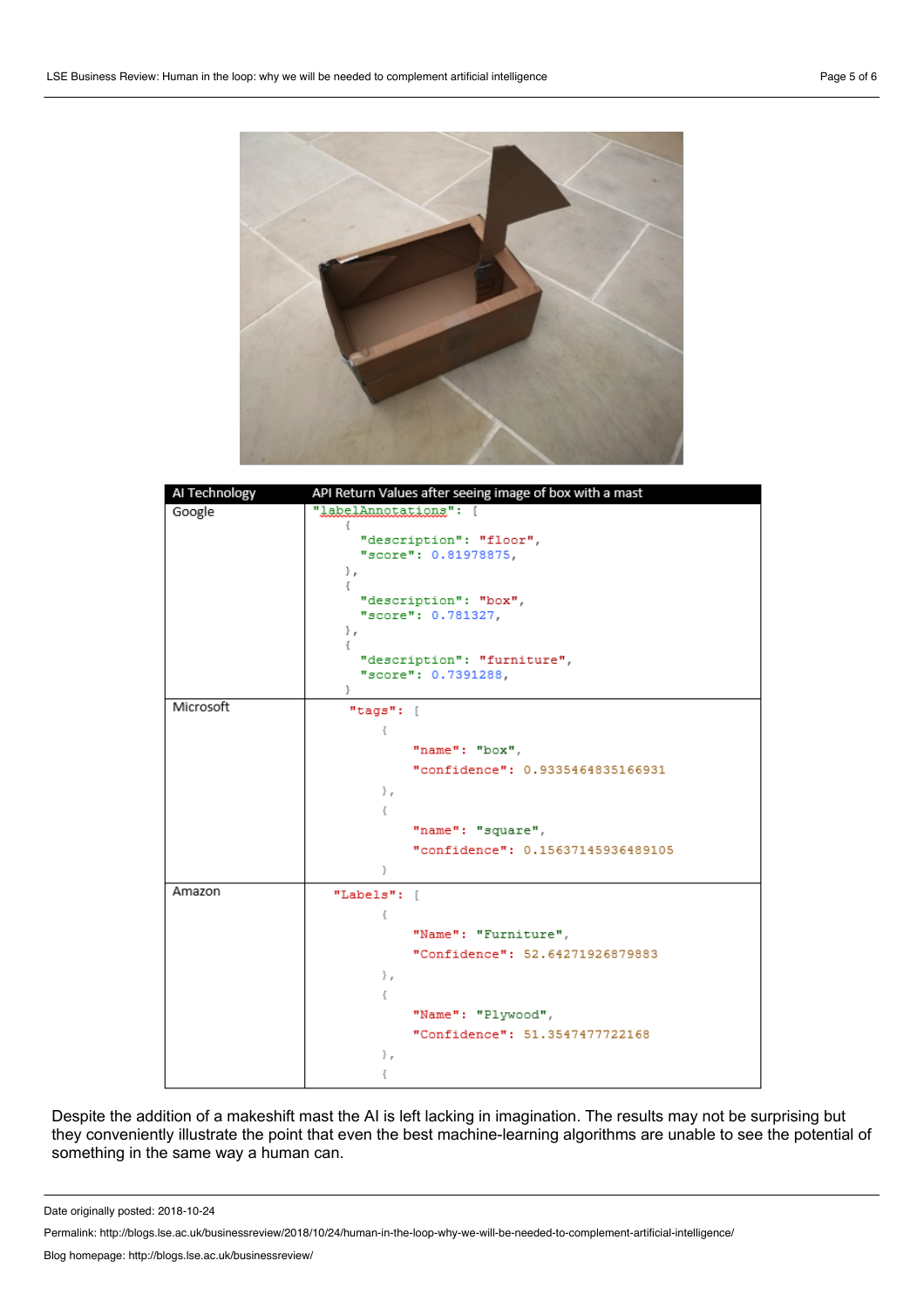



Despite the addition of a makeshift mast the AI is left lacking in imagination. The results may not be surprising but they conveniently illustrate the point that even the best machine-learning algorithms are unable to see the potential of something in the same way a human can.

Date originally posted: 2018-10-24

Permalink: http://blogs.lse.ac.uk/businessreview/2018/10/24/human-in-the-loop-why-we-will-be-needed-to-complement-artificial-intelligence/